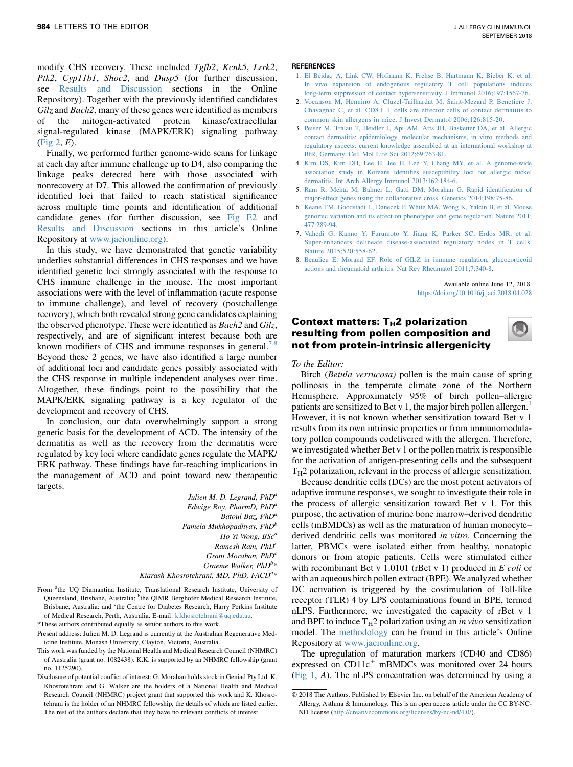modify CHS recovery. These included Tgfb2, Kcnk5, Lrrk2, Ptk2, Cyp11b1, Shoc2, and Dusp5 (for further discussion, see Results and Discussion sections in the Online Repository). Together with the previously identified candidates Gilz and Bach2, many of these genes were identified as members of the mitogen-activated protein kinase/extracellular signal-regulated kinase (MAPK/ERK) signaling pathway (Fig 2, E).

Finally, we performed further genome-wide scans for linkage at each day after immune challenge up to D4, also comparing the linkage peaks detected here with those associated with nonrecovery at D7. This allowed the confirmation of previously identified loci that failed to reach statistical significance across multiple time points and identification of additional candidate genes (for further discussion, see Fig E2 and Results and Discussion sections in this article's Online Repository at [www.jacionline.org](http://www.jacionline.org)).

In this study, we have demonstrated that genetic variability underlies substantial differences in CHS responses and we have identified genetic loci strongly associated with the response to CHS immune challenge in the mouse. The most important associations were with the level of inflammation (acute response to immune challenge), and level of recovery (postchallenge recovery), which both revealed strong gene candidates explaining the observed phenotype. These were identified as Bach2 and Gilz, respectively, and are of significant interest because both are known modifiers of CHS and immune responses in general.<sup>7,8</sup> Beyond these 2 genes, we have also identified a large number of additional loci and candidate genes possibly associated with the CHS response in multiple independent analyses over time. Altogether, these findings point to the possibility that the MAPK/ERK signaling pathway is a key regulator of the development and recovery of CHS.

In conclusion, our data overwhelmingly support a strong genetic basis for the development of ACD. The intensity of the dermatitis as well as the recovery from the dermatitis were regulated by key loci where candidate genes regulate the MAPK/ ERK pathway. These findings have far-reaching implications in the management of ACD and point toward new therapeutic targets.

> Julien M. D. Legrand,  $PhD<sup>a</sup>$ Edwige Roy, PharmD, PhD<sup>a</sup> Batoul Baz, PhD<sup>a</sup> Pamela Mukhopadhyay,  $PhD<sup>b</sup>$ Ho Yi Wong, BSc<sup>a</sup> Ramesh Ram,  $PhD<sup>c</sup>$ Grant Morahan, PhD<sup>o</sup> Graeme Walker,  $PhD^{b*}$

Kiarash Khosrotehrani, MD, PhD, FACD<sup>a\*</sup>

- From <sup>a</sup>the UQ Diamantina Institute, Translational Research Institute, University of Queensland, Brisbane, Australia; <sup>b</sup>the QIMR Berghofer Medical Research Institute, Brisbane, Australia; and <sup>c</sup>the Centre for Diabetes Research, Harry Perkins Institute of Medical Research, Perth, Australia. E-mail: [k.khosrotehrani@uq.edu.au](mailto:k.khosrotehrani@uq.edu.au).
- \*These authors contributed equally as senior authors to this work.
- Present address: Julien M. D. Legrand is currently at the Australian Regenerative Medicine Institute, Monash University, Clayton, Victoria, Australia.
- This work was funded by the National Health and Medical Research Council (NHMRC) of Australia (grant no. 1082438). K.K. is supported by an NHMRC fellowship (grant no. 1125290).
- Disclosure of potential conflict of interest: G. Morahan holds stock in Geniad Pty Ltd. K. Khosrotehrani and G. Walker are the holders of a National Health and Medical Research Council (NHMRC) project grant that supported this work and K. Khosrotehrani is the holder of an NHMRC fellowship, the details of which are listed earlier. The rest of the authors declare that they have no relevant conflicts of interest.

#### **REFERENCES**

- 1. [El Beidaq A, Link CW, Hofmann K, Frehse B, Hartmann K, Bieber K, et al.](http://refhub.elsevier.com/S0091-6749(18)30926-6/sref1) [In vivo expansion of endogenous regulatory T cell populations induces](http://refhub.elsevier.com/S0091-6749(18)30926-6/sref1) [long-term suppression of contact hypersensitivity. J Immunol 2016;197:1567-76](http://refhub.elsevier.com/S0091-6749(18)30926-6/sref1).
- 2. [Vocanson M, Hennino A, Cluzel-Tailhardat M, Saint-Mezard P, Benetiere J,](http://refhub.elsevier.com/S0091-6749(18)30926-6/sref2) Chavagnac C, et al.  $CD8+T$  cells are effector cells of contact dermatitis to [common skin allergens in mice. J Invest Dermatol 2006;126:815-20](http://refhub.elsevier.com/S0091-6749(18)30926-6/sref2).
- 3. [Peiser M, Tralau T, Heidler J, Api AM, Arts JH, Basketter DA, et al. Allergic](http://refhub.elsevier.com/S0091-6749(18)30926-6/sref3) [contact dermatitis: epidemiology, molecular mechanisms, in vitro methods and](http://refhub.elsevier.com/S0091-6749(18)30926-6/sref3) [regulatory aspects: current knowledge assembled at an international workshop at](http://refhub.elsevier.com/S0091-6749(18)30926-6/sref3) [BfR, Germany. Cell Mol Life Sci 2012;69:763-81.](http://refhub.elsevier.com/S0091-6749(18)30926-6/sref3)
- 4. [Kim DS, Kim DH, Lee H, Jee H, Lee Y, Chang MY, et al. A genome-wide](http://refhub.elsevier.com/S0091-6749(18)30926-6/sref4) [association study in Koreans identifies susceptibility loci for allergic nickel](http://refhub.elsevier.com/S0091-6749(18)30926-6/sref4) [dermatitis. Int Arch Allergy Immunol 2013;162:184-6.](http://refhub.elsevier.com/S0091-6749(18)30926-6/sref4)
- 5. [Ram R, Mehta M, Balmer L, Gatti DM, Morahan G. Rapid identification of](http://refhub.elsevier.com/S0091-6749(18)30926-6/sref5) [major-effect genes using the collaborative cross. Genetics 2014;198:75-86.](http://refhub.elsevier.com/S0091-6749(18)30926-6/sref5)
- 6. [Keane TM, Goodstadt L, Danecek P, White MA, Wong K, Yalcin B, et al. Mouse](http://refhub.elsevier.com/S0091-6749(18)30926-6/sref6) [genomic variation and its effect on phenotypes and gene regulation. Nature 2011;](http://refhub.elsevier.com/S0091-6749(18)30926-6/sref6) [477:289-94.](http://refhub.elsevier.com/S0091-6749(18)30926-6/sref6)
- 7. [Vahedi G, Kanno Y, Furumoto Y, Jiang K, Parker SC, Erdos MR, et al.](http://refhub.elsevier.com/S0091-6749(18)30926-6/sref7) [Super-enhancers delineate disease-associated regulatory nodes in T cells.](http://refhub.elsevier.com/S0091-6749(18)30926-6/sref7) [Nature 2015;520:558-62](http://refhub.elsevier.com/S0091-6749(18)30926-6/sref7).
- 8. [Beaulieu E, Morand EF. Role of GILZ in immune regulation, glucocorticoid](http://refhub.elsevier.com/S0091-6749(18)30926-6/sref8) [actions and rheumatoid arthritis. Nat Rev Rheumatol 2011;7:340-8](http://refhub.elsevier.com/S0091-6749(18)30926-6/sref8).

Available online June 12, 2018. <https://doi.org/10.1016/j.jaci.2018.04.028>

# Context matters: T<sub>H</sub>2 polarization resulting from pollen composition and not from protein-intrinsic allergenicity

To the Editor:

Birch (Betula verrucosa) pollen is the main cause of spring pollinosis in the temperate climate zone of the Northern Hemisphere. Approximately 95% of birch pollen–allergic patients are sensitized to Bet v [1](#page-3-0), the major birch pollen allergen.<sup>1</sup> However, it is not known whether sensitization toward Bet v 1 results from its own intrinsic properties or from immunomodulatory pollen compounds codelivered with the allergen. Therefore, we investigated whether Bet v 1 or the pollen matrix is responsible for the activation of antigen-presenting cells and the subsequent  $T_H2$  polarization, relevant in the process of allergic sensitization.

Because dendritic cells (DCs) are the most potent activators of adaptive immune responses, we sought to investigate their role in the process of allergic sensitization toward Bet v 1. For this purpose, the activation of murine bone marrow–derived dendritic cells (mBMDCs) as well as the maturation of human monocyte– derived dendritic cells was monitored in vitro. Concerning the latter, PBMCs were isolated either from healthy, nonatopic donors or from atopic patients. Cells were stimulated either with recombinant Bet v 1.0101 (rBet v 1) produced in  $E$  coli or with an aqueous birch pollen extract (BPE). We analyzed whether DC activation is triggered by the costimulation of Toll-like receptor (TLR) 4 by LPS contaminations found in BPE, termed nLPS. Furthermore, we investigated the capacity of rBet v 1 and BPE to induce  $T_H2$  polarization using an *in vivo* sensitization model. The methodology can be found in this article's Online Repository at [www.jacionline.org](http://www.jacionline.org).

The upregulation of maturation markers (CD40 and CD86) expressed on  $CD11c^+$  mBMDCs was monitored over 24 hours [\(Fig 1,](#page-1-0) A). The nLPS concentration was determined by using a

2018 The Authors. Published by Elsevier Inc. on behalf of the American Academy of Allergy, Asthma & Immunology. This is an open access article under the CC BY-NC-ND license [\(http://creativecommons.org/licenses/by-nc-nd/4.0/](http://creativecommons.org/licenses/by-nc-nd/4.0/)).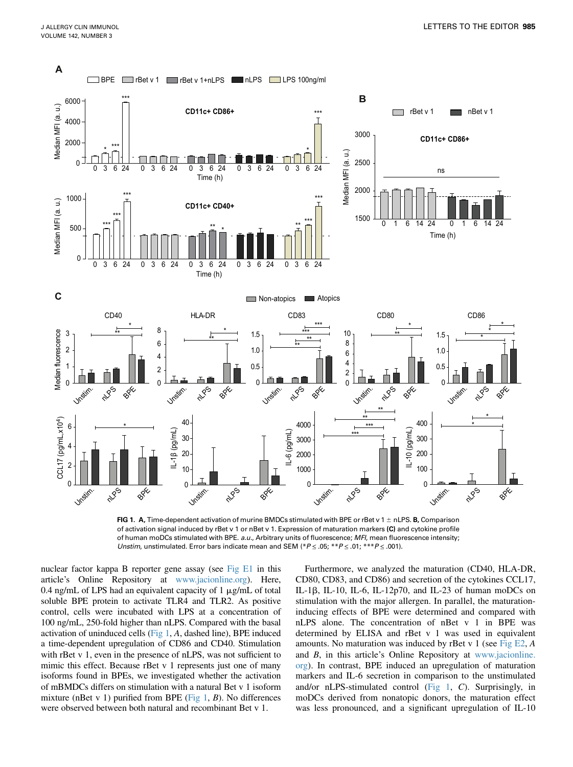<span id="page-1-0"></span>

FIG 1. A, Time-dependent activation of murine BMDCs stimulated with BPE or rBet v 1  $\pm$  nLPS. B, Comparison of activation signal induced by rBet v 1 or nBet v 1. Expression of maturation markers (C) and cytokine profile of human moDCs stimulated with BPE. a.u., Arbitrary units of fluorescence; MFI, mean fluorescence intensity; Unstim, unstimulated. Error bars indicate mean and SEM (\* $P \le 0.05$ ; \*\* $P \le 0.01$ ; \*\*\* $P \le 0.001$ ).

nuclear factor kappa B reporter gene assay (see [Fig E1](#page-6-0) in this article's Online Repository at [www.jacionline.org](http://www.jacionline.org)). Here, 0.4 ng/mL of LPS had an equivalent capacity of  $1 \mu$ g/mL of total soluble BPE protein to activate TLR4 and TLR2. As positive control, cells were incubated with LPS at a concentration of 100 ng/mL, 250-fold higher than nLPS. Compared with the basal activation of uninduced cells (Fig 1, A, dashed line), BPE induced a time-dependent upregulation of CD86 and CD40. Stimulation with rBet v 1, even in the presence of nLPS, was not sufficient to mimic this effect. Because rBet v 1 represents just one of many isoforms found in BPEs, we investigated whether the activation of mBMDCs differs on stimulation with a natural Bet v 1 isoform mixture (nBet v 1) purified from BPE (Fig 1, B). No differences were observed between both natural and recombinant Bet v 1.

Furthermore, we analyzed the maturation (CD40, HLA-DR, CD80, CD83, and CD86) and secretion of the cytokines CCL17, IL-1 $\beta$ , IL-10, IL-6, IL-12p70, and IL-23 of human moDCs on stimulation with the major allergen. In parallel, the maturationinducing effects of BPE were determined and compared with nLPS alone. The concentration of nBet v 1 in BPE was determined by ELISA and rBet v 1 was used in equivalent amounts. No maturation was induced by rBet v 1 (see Fig  $E2$ , A and B, in this article's Online Repository at [www.jacionline.](http://www.jacionline.org) [org](http://www.jacionline.org)). In contrast, BPE induced an upregulation of maturation markers and IL-6 secretion in comparison to the unstimulated and/or nLPS-stimulated control (Fig 1, C). Surprisingly, in moDCs derived from nonatopic donors, the maturation effect was less pronounced, and a significant upregulation of IL-10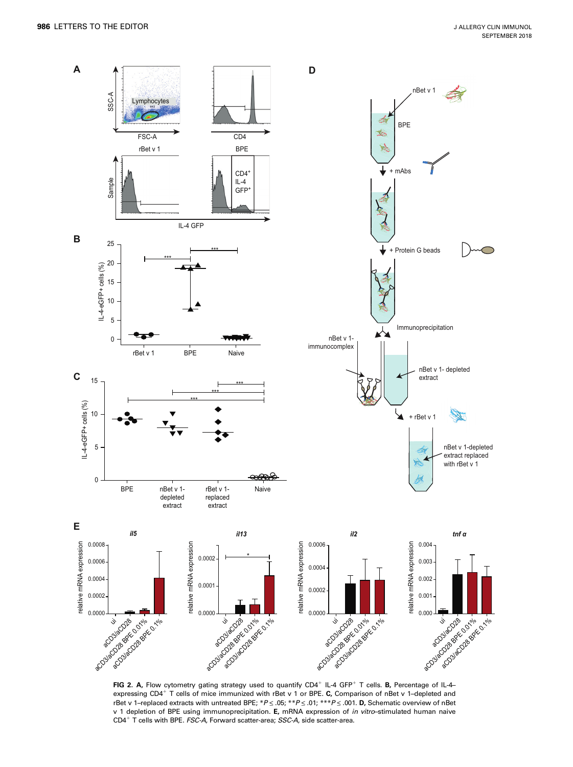<span id="page-2-0"></span>

FIG 2. A, Flow cytometry gating strategy used to quantify  $CD4^+$  IL-4 GFP<sup>+</sup> T cells. B, Percentage of IL-4expressing CD4<sup>+</sup> T cells of mice immunized with rBet v 1 or BPE. C, Comparison of nBet v 1-depleted and rBet v 1-replaced extracts with untreated BPE; \*P  $\leq$  .05; \*\*P  $\leq$  .01; \*\*\*P  $\leq$  .001. D, Schematic overview of nBet v 1 depletion of BPE using immunoprecipitation. E, mRNA expression of in vitro-stimulated human naive  $CD4^+$  T cells with BPE. FSC-A, Forward scatter-area; SSC-A, side scatter-area.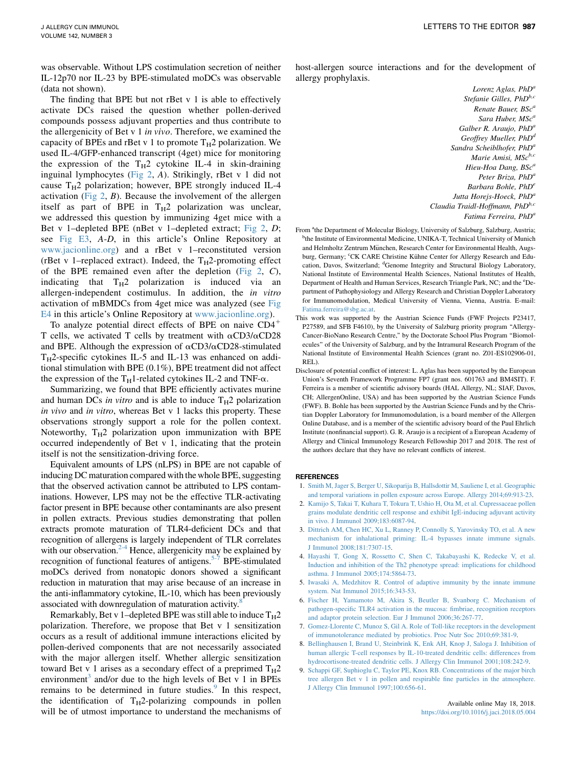<span id="page-3-0"></span>was observable. Without LPS costimulation secretion of neither IL-12p70 nor IL-23 by BPE-stimulated moDCs was observable (data not shown).

The finding that BPE but not rBet v 1 is able to effectively activate DCs raised the question whether pollen-derived compounds possess adjuvant properties and thus contribute to the allergenicity of Bet v 1 in vivo. Therefore, we examined the capacity of BPEs and rBet v 1 to promote  $T_H2$  polarization. We used IL-4/GFP-enhanced transcript (4get) mice for monitoring the expression of the  $T_H2$  cytokine IL-4 in skin-draining inguinal lymphocytes ([Fig 2](#page-2-0), A). Strikingly, rBet v 1 did not cause  $T_H2$  polarization; however, BPE strongly induced IL-4 activation [\(Fig 2](#page-2-0),  $B$ ). Because the involvement of the allergen itself as part of BPE in  $T_H2$  polarization was unclear, we addressed this question by immunizing 4get mice with a Bet v 1–depleted BPE (nBet v 1–depleted extract; [Fig 2](#page-2-0), D; see [Fig E3](#page-8-0), A-D, in this article's Online Repository at [www.jacionline.org](http://www.jacionline.org)) and a rBet v 1–reconstituted version (rBet v 1–replaced extract). Indeed, the  $T_H2$ -promoting effect of the BPE remained even after the depletion [\(Fig 2](#page-2-0), C), indicating that  $T_H2$  polarization is induced via an allergen-independent costimulus. In addition, the in vitro activation of mBMDCs from 4get mice was analyzed (see [Fig](#page-9-0) [E4](#page-9-0) in this article's Online Repository at [www.jacionline.org](http://www.jacionline.org)).

To analyze potential direct effects of BPE on naive  $CD4^+$ T cells, we activated T cells by treatment with  $\alpha$ CD3/ $\alpha$ CD28 and BPE. Although the expression of  $\alpha$ CD3/ $\alpha$ CD28-stimulated  $T_H$ 2-specific cytokines IL-5 and IL-13 was enhanced on additional stimulation with BPE (0.1%), BPE treatment did not affect the expression of the T<sub>H</sub>1-related cytokines IL-2 and TNF- $\alpha$ .

Summarizing, we found that BPE efficiently activates murine and human DCs in vitro and is able to induce  $T_H2$  polarization in vivo and in vitro, whereas Bet v 1 lacks this property. These observations strongly support a role for the pollen context. Noteworthy,  $T_H2$  polarization upon immunization with BPE occurred independently of Bet v 1, indicating that the protein itself is not the sensitization-driving force.

Equivalent amounts of LPS (nLPS) in BPE are not capable of inducing DC maturation compared with the whole BPE, suggesting that the observed activation cannot be attributed to LPS contaminations. However, LPS may not be the effective TLR-activating factor present in BPE because other contaminants are also present in pollen extracts. Previous studies demonstrating that pollen extracts promote maturation of TLR4-deficient DCs and that recognition of allergens is largely independent of TLR correlates with our observation. $2-4$  Hence, allergenicity may be explained by recognition of functional features of antigens.<sup>5-7</sup> BPE-stimulated moDCs derived from nonatopic donors showed a significant reduction in maturation that may arise because of an increase in the anti-inflammatory cytokine, IL-10, which has been previously associated with downregulation of maturation activity.<sup>8</sup>

Remarkably, Bet v 1–depleted BPE was still able to induce  $T_H2$ polarization. Therefore, we propose that Bet v 1 sensitization occurs as a result of additional immune interactions elicited by pollen-derived components that are not necessarily associated with the major allergen itself. Whether allergic sensitization toward Bet v 1 arises as a secondary effect of a preprimed  $T_H2$ environment<sup>3</sup> and/or due to the high levels of Bet v 1 in BPEs remains to be determined in future studies.<sup>9</sup> In this respect, the identification of  $T_H$ 2-polarizing compounds in pollen will be of utmost importance to understand the mechanisms of host-allergen source interactions and for the development of allergy prophylaxis.

> Lorenz Aglas,  $PhD<sup>a</sup>$ Stefanie Gilles, PhD<sup>b,c</sup> Renate Bauer, BSc<sup>a</sup> Sara Huber, MSc<sup>a</sup> Galber R. Araujo,  $PhD<sup>a</sup>$ Geoffrey Mueller, PhD<sup>d</sup> Sandra Scheiblhofer, PhD<sup>a</sup> Marie Amisi, MSc<sup>b,c</sup> Hieu-Hoa Dang, BSc<sup>a</sup> Peter Briza, PhD<sup>a</sup> Barbara Bohle, PhD<sup>e</sup> Jutta Horejs-Hoeck, PhD<sup>a</sup> Claudia Traidl-Hoffmann, PhD<sup>b,c</sup> Fatima Ferreira, PhD<sup>a</sup>

- From <sup>a</sup>the Department of Molecular Biology, University of Salzburg, Salzburg, Austria; <sup>b</sup>the Institute of Environmental Medicine, UNIKA-T, Technical University of Munich and Helmholtz Zentrum München, Research Center for Environmental Health, Augsburg, Germany; CK CARE Christine Kühne Center for Allergy Research and Education, Davos, Switzerland; <sup>d</sup>Genome Integrity and Structural Biology Laboratory, National Institute of Environmental Health Sciences, National Institutes of Health, Department of Health and Human Services, Research Triangle Park, NC; and the <sup>e</sup>Department of Pathophysiology and Allergy Research and Christian Doppler Laboratory for Immunomodulation, Medical University of Vienna, Vienna, Austria. E-mail: [Fatima.ferreira@sbg.ac.at.](mailto:Fatima.ferreira@sbg.ac.at)
- This work was supported by the Austrian Science Funds (FWF Projects P23417, P27589, and SFB F4610), by the University of Salzburg priority program "Allergy-Cancer-BioNano Research Centre,'' by the Doctorate School Plus Program ''Biomolecules'' of the University of Salzburg, and by the Intramural Research Program of the National Institute of Environmental Health Sciences (grant no. Z01-ES102906-01, REL).
- Disclosure of potential conflict of interest: L. Aglas has been supported by the European Union's Seventh Framework Programme FP7 (grant nos. 601763 and BM4SIT). F. Ferreira is a member of scientific advisory boards (HAL Allergy, NL; SIAF, Davos, CH; AllergenOnline, USA) and has been supported by the Austrian Science Funds (FWF). B. Bohle has been supported by the Austrian Science Funds and by the Christian Doppler Laboratory for Immunomodulation, is a board member of the Allergen Online Database, and is a member of the scientific advisory board of the Paul Ehrlich Institute (nonfinancial support). G. R. Araujo is a recipient of a European Academy of Allergy and Clinical Immunology Research Fellowship 2017 and 2018. The rest of the authors declare that they have no relevant conflicts of interest.

#### REFERENCES

- 1. [Smith M, Jager S, Berger U, Sikoparija B, Hallsdottir M, Sauliene I, et al. Geographic](http://refhub.elsevier.com/S0091-6749(18)30926-6/sref1) [and temporal variations in pollen exposure across Europe. Allergy 2014;69:913-23](http://refhub.elsevier.com/S0091-6749(18)30926-6/sref1).
- 2. [Kamijo S, Takai T, Kuhara T, Tokura T, Ushio H, Ota M, et al. Cupressaceae pollen](http://refhub.elsevier.com/S0091-6749(18)30926-6/sref2) [grains modulate dendritic cell response and exhibit IgE-inducing adjuvant activity](http://refhub.elsevier.com/S0091-6749(18)30926-6/sref2) [in vivo. J Immunol 2009;183:6087-94.](http://refhub.elsevier.com/S0091-6749(18)30926-6/sref2)
- 3. [Dittrich AM, Chen HC, Xu L, Ranney P, Connolly S, Yarovinsky TO, et al. A new](http://refhub.elsevier.com/S0091-6749(18)30926-6/sref3) [mechanism for inhalational priming: IL-4 bypasses innate immune signals.](http://refhub.elsevier.com/S0091-6749(18)30926-6/sref3) [J Immunol 2008;181:7307-15](http://refhub.elsevier.com/S0091-6749(18)30926-6/sref3).
- 4. [Hayashi T, Gong X, Rossetto C, Shen C, Takabayashi K, Redecke V, et al.](http://refhub.elsevier.com/S0091-6749(18)30926-6/sref4) [Induction and inhibition of the Th2 phenotype spread: implications for childhood](http://refhub.elsevier.com/S0091-6749(18)30926-6/sref4) [asthma. J Immunol 2005;174:5864-73](http://refhub.elsevier.com/S0091-6749(18)30926-6/sref4).
- 5. [Iwasaki A, Medzhitov R. Control of adaptive immunity by the innate immune](http://refhub.elsevier.com/S0091-6749(18)30926-6/sref5) [system. Nat Immunol 2015;16:343-53](http://refhub.elsevier.com/S0091-6749(18)30926-6/sref5).
- 6. [Fischer H, Yamamoto M, Akira S, Beutler B, Svanborg C. Mechanism of](http://refhub.elsevier.com/S0091-6749(18)30926-6/sref6) [pathogen-specific TLR4 activation in the mucosa: fimbriae, recognition receptors](http://refhub.elsevier.com/S0091-6749(18)30926-6/sref6) [and adaptor protein selection. Eur J Immunol 2006;36:267-77.](http://refhub.elsevier.com/S0091-6749(18)30926-6/sref6)
- 7. [Gomez-Llorente C, Munoz S, Gil A. Role of Toll-like receptors in the development](http://refhub.elsevier.com/S0091-6749(18)30926-6/sref7) [of immunotolerance mediated by probiotics. Proc Nutr Soc 2010;69:381-9.](http://refhub.elsevier.com/S0091-6749(18)30926-6/sref7)
- 8. [Bellinghausen I, Brand U, Steinbrink K, Enk AH, Knop J, Saloga J. Inhibition of](http://refhub.elsevier.com/S0091-6749(18)30926-6/sref8) [human allergic T-cell responses by IL-10-treated dendritic cells: differences from](http://refhub.elsevier.com/S0091-6749(18)30926-6/sref8) [hydrocortisone-treated dendritic cells. J Allergy Clin Immunol 2001;108:242-9.](http://refhub.elsevier.com/S0091-6749(18)30926-6/sref8)
- 9. [Schappi GF, Suphioglu C, Taylor PE, Knox RB. Concentrations of the major birch](http://refhub.elsevier.com/S0091-6749(18)30926-6/sref9) [tree allergen Bet v 1 in pollen and respirable fine particles in the atmosphere.](http://refhub.elsevier.com/S0091-6749(18)30926-6/sref9) [J Allergy Clin Immunol 1997;100:656-61](http://refhub.elsevier.com/S0091-6749(18)30926-6/sref9).

Available online May 18, 2018. <https://doi.org/10.1016/j.jaci.2018.05.004>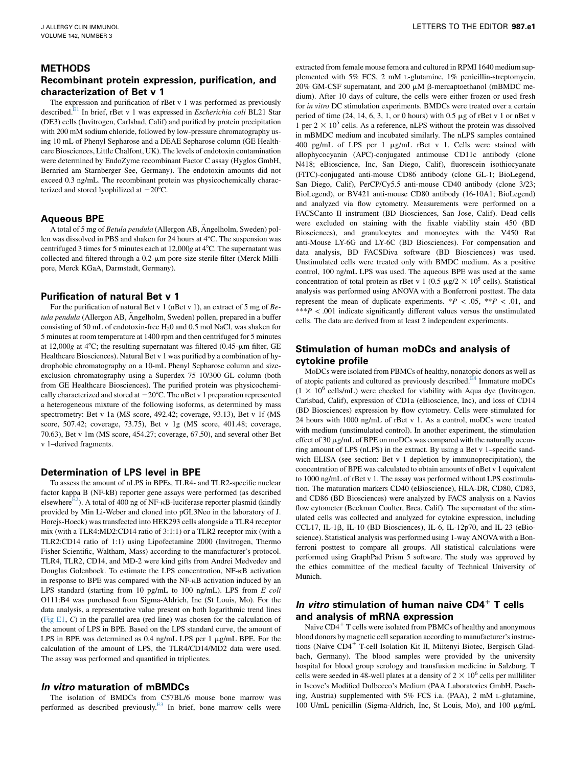### METHODS

### Recombinant protein expression, purification, and characterization of Bet v 1

The expression and purification of rBet v 1 was performed as previously described.<sup>E1</sup> In brief, rBet v 1 was expressed in *Escherichia coli* BL21 Star (DE3) cells (Invitrogen, Carlsbad, Calif) and purified by protein precipitation with 200 mM sodium chloride, followed by low-pressure chromatography using 10 mL of Phenyl Sepharose and a DEAE Sepharose column (GE Healthcare Biosciences, Little Chalfont, UK). The levels of endotoxin contamination were determined by EndoZyme recombinant Factor C assay (Hyglos GmbH, Bernried am Starnberger See, Germany). The endotoxin amounts did not exceed 0.3 ng/mL. The recombinant protein was physicochemically characterized and stored lyophilized at  $-20^{\circ}$ C.

#### Aqueous BPE

A total of 5 mg of Betula pendula (Allergon AB, Ängelholm, Sweden) pollen was dissolved in PBS and shaken for 24 hours at  $4^{\circ}$ C. The suspension was centrifuged 3 times for 5 minutes each at 12,000g at 4 $^{\circ}$ C. The supernatant was collected and filtered through a  $0.2$ - $\mu$ m pore-size sterile filter (Merck Millipore, Merck KGaA, Darmstadt, Germany).

#### Purification of natural Bet v 1

For the purification of natural Bet v 1 (nBet v 1), an extract of 5 mg of Betula pendula (Allergon AB, Angelholm, Sweden) pollen, prepared in a buffer consisting of 50 mL of endotoxin-free  $H_2$ 0 and 0.5 mol NaCl, was shaken for 5 minutes at room temperature at 1400 rpm and then centrifuged for 5 minutes at 12,000g at 4 $\degree$ C; the resulting supernatant was filtered (0.45- $\mu$ m filter, GE Healthcare Biosciences). Natural Bet v 1 was purified by a combination of hydrophobic chromatography on a 10-mL Phenyl Sepharose column and sizeexclusion chromatography using a Superdex 75 10/300 GL column (both from GE Healthcare Biosciences). The purified protein was physicochemically characterized and stored at  $-20^{\circ}$ C. The nBet v 1 preparation represented a heterogeneous mixture of the following isoforms, as determined by mass spectrometry: Bet v 1a (MS score, 492.42; coverage, 93.13), Bet v 1f (MS score, 507.42; coverage, 73.75), Bet v 1g (MS score, 401.48; coverage, 70.63), Bet v 1m (MS score, 454.27; coverage, 67.50), and several other Bet v 1–derived fragments.

### Determination of LPS level in BPE

To assess the amount of nLPS in BPEs, TLR4- and TLR2-specific nuclear factor kappa B (NF-kB) reporter gene assays were performed (as described elsewhere<sup>[E2](#page-5-0)</sup>). A total of 400 ng of NF- $\kappa$ B-luciferase reporter plasmid (kindly provided by Min Li-Weber and cloned into pGL3Neo in the laboratory of J. Horejs-Hoeck) was transfected into HEK293 cells alongside a TLR4 receptor mix (with a TLR4:MD2:CD14 ratio of 3:1:1) or a TLR2 receptor mix (with a TLR2:CD14 ratio of 1:1) using Lipofectamine 2000 (Invitrogen, Thermo Fisher Scientific, Waltham, Mass) according to the manufacturer's protocol. TLR4, TLR2, CD14, and MD-2 were kind gifts from Andrei Medvedev and Douglas Golenbock. To estimate the LPS concentration, NF-kB activation in response to BPE was compared with the NF-kB activation induced by an LPS standard (starting from 10 pg/mL to 100 ng/mL). LPS from E coli O111:B4 was purchased from Sigma-Aldrich, Inc (St Louis, Mo). For the data analysis, a representative value present on both logarithmic trend lines ([Fig E1,](#page-6-0) C) in the parallel area (red line) was chosen for the calculation of the amount of LPS in BPE. Based on the LPS standard curve, the amount of LPS in BPE was determined as  $0.4$  ng/mL LPS per 1  $\mu$ g/mL BPE. For the calculation of the amount of LPS, the TLR4/CD14/MD2 data were used. The assay was performed and quantified in triplicates.

#### In vitro maturation of mBMDCs

The isolation of BMDCs from C57BL/6 mouse bone marrow was performed as described previously. $E<sup>3</sup>$  In brief, bone marrow cells were extracted from female mouse femora and cultured in RPMI 1640 medium supplemented with 5% FCS, 2 mM L-glutamine, 1% penicillin-streptomycin, 20% GM-CSF supernatant, and 200  $\mu$ M  $\beta$ -mercaptoethanol (mBMDC medium). After 10 days of culture, the cells were either frozen or used fresh for in vitro DC stimulation experiments. BMDCs were treated over a certain period of time  $(24, 14, 6, 3, 1, or 0$  hours) with  $0.5 \mu$ g of rBet v 1 or nBet v 1 per  $2 \times 10^5$  cells. As a reference, nLPS without the protein was dissolved in mBMDC medium and incubated similarly. The nLPS samples contained 400 pg/mL of LPS per 1 µg/mL rBet v 1. Cells were stained with allophycocyanin (APC)-conjugated antimouse CD11c antibody (clone N418; eBioscience, Inc, San Diego, Calif), fluorescein isothiocyanate (FITC)-conjugated anti-mouse CD86 antibody (clone GL-1; BioLegend, San Diego, Calif), PerCP/Cy5.5 anti-mouse CD40 antibody (clone 3/23; BioLegend), or BV421 anti-mouse CD80 antibody (16-10A1; BioLegend) and analyzed via flow cytometry. Measurements were performed on a FACSCanto II instrument (BD Biosciences, San Jose, Calif). Dead cells were excluded on staining with the fixable viability stain 450 (BD Biosciences), and granulocytes and monocytes with the V450 Rat anti-Mouse LY-6G and LY-6C (BD Biosciences). For compensation and data analysis, BD FACSDiva software (BD Biosciences) was used. Unstimulated cells were treated only with BMDC medium. As a positive control, 100 ng/mL LPS was used. The aqueous BPE was used at the same concentration of total protein as rBet v 1 (0.5  $\mu$ g/2  $\times$  10<sup>5</sup> cells). Statistical analysis was performed using ANOVA with a Bonferroni posttest. The data represent the mean of duplicate experiments.  $*P < .05$ ,  $*P < .01$ , and \*\*\* $P < .001$  indicate significantly different values versus the unstimulated cells. The data are derived from at least 2 independent experiments.

## Stimulation of human moDCs and analysis of cytokine profile

MoDCs were isolated from PBMCs of healthy, nonatopic donors as well as of atopic patients and cultured as previously described.<sup>E4</sup> Immature moDCs  $(1 \times 10^6 \text{ cells/mL})$  were checked for viability with Aqua dye (Invitrogen, Carlsbad, Calif), expression of CD1a (eBioscience, Inc), and loss of CD14 (BD Biosciences) expression by flow cytometry. Cells were stimulated for 24 hours with 1000 ng/mL of rBet v 1. As a control, moDCs were treated with medium (unstimulated control). In another experiment, the stimulation effect of 30  $\mu$ g/mL of BPE on moDCs was compared with the naturally occurring amount of LPS (nLPS) in the extract. By using a Bet v 1–specific sandwich ELISA (see section: Bet v 1 depletion by immunoprecipitation), the concentration of BPE was calculated to obtain amounts of nBet v 1 equivalent to 1000 ng/mL of rBet v 1. The assay was performed without LPS costimulation. The maturation markers CD40 (eBioscience), HLA-DR, CD80, CD83, and CD86 (BD Biosciences) were analyzed by FACS analysis on a Navios flow cytometer (Beckman Coulter, Brea, Calif). The supernatant of the stimulated cells was collected and analyzed for cytokine expression, including CCL17, IL-1 $\beta$ , IL-10 (BD Biosciences), IL-6, IL-12p70, and IL-23 (eBioscience). Statistical analysis was performed using 1-way ANOVA with a Bonferroni posttest to compare all groups. All statistical calculations were performed using GraphPad Prism 5 software. The study was approved by the ethics committee of the medical faculty of Technical University of Munich.

# In vitro stimulation of human naive CD4 $^+$  T cells and analysis of mRNA expression

Naive  $CD4^+$  T cells were isolated from PBMCs of healthy and anonymous blood donors by magnetic cell separation according to manufacturer's instructions (Naive CD4<sup>+</sup> T-cell Isolation Kit II, Miltenyi Biotec, Bergisch Gladbach, Germany). The blood samples were provided by the university hospital for blood group serology and transfusion medicine in Salzburg. T cells were seeded in 48-well plates at a density of  $2 \times 10^6$  cells per milliliter in Iscove's Modified Dulbecco's Medium (PAA Laboratories GmbH, Pasching, Austria) supplemented with 5% FCS i.a. (PAA), 2 mM L-glutamine, 100 U/mL penicillin (Sigma-Aldrich, Inc, St Louis, Mo), and 100 mg/mL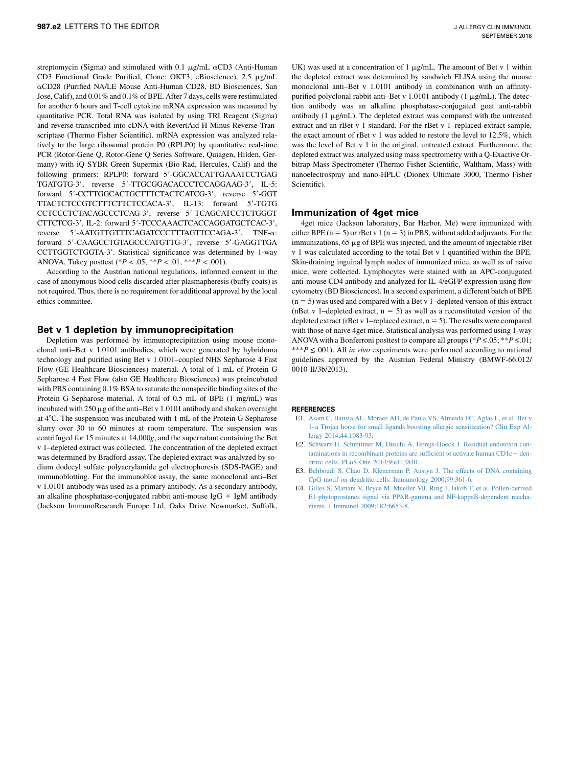<span id="page-5-0"></span>streptomycin (Sigma) and stimulated with 0.1  $\mu$ g/mL  $\alpha$ CD3 (Anti-Human CD3 Functional Grade Purified, Clone: OKT3, eBioscience), 2.5 µg/mL aCD28 (Purified NA/LE Mouse Anti-Human CD28, BD Biosciences, San Jose, Calif), and 0.01% and 0.1% of BPE. After 7 days, cells were restimulated for another 6 hours and T-cell cytokine mRNA expression was measured by quantitative PCR. Total RNA was isolated by using TRI Reagent (Sigma) and reverse-transcribed into cDNA with RevertAid H Minus Reverse Transcriptase (Thermo Fisher Scientific). mRNA expression was analyzed relatively to the large ribosomal protein P0 (RPLP0) by quantitative real-time PCR (Rotor-Gene Q, Rotor-Gene Q Series Software, Quiagen, Hilden, Germany) with iQ SYBR Green Supermix (Bio-Rad, Hercules, Calif) and the following primers: RPLP0: forward 5'-GGCACCATTGAAATCCTGAG TGATGTG-3', reverse 5'-TTGCGGACACCCTCCAGGAAG-3', IL-5: forward 5'-CCTTGGCACTGCTTTCTACTCATCG-3', reverse 5'-GGT TTACTCTCCGTCTTTCTTCTCCACA-3', IL-13: forward 5'-TGTG CCTCCCTCTACAGCCCTCAG-3', reverse 5'-TCAGCATCCTCTGGGT CTTCTCG-3', IL-2: forward 5'-TCCCAAACTCACCAGGATGCTCAC-3', reverse 5'-AATGTTGTTTCAGATCCCTTTAGTTCCAGA-3', TNF-α: forward 5'-CAAGCCTGTAGCCCATGTTG-3', reverse 5'-GAGGTTGA CCTTGGTCTGGTA-3'. Statistical significance was determined by 1-way ANOVA, Tukey posttest (\* $P < .05$ , \*\* $P < .01$ , \*\*\* $P < .001$ ).

According to the Austrian national regulations, informed consent in the case of anonymous blood cells discarded after plasmapheresis (buffy coats) is not required. Thus, there is no requirement for additional approval by the local ethics committee.

### Bet v 1 depletion by immunoprecipitation

Depletion was performed by immunoprecipitation using mouse monoclonal anti–Bet v 1.0101 antibodies, which were generated by hybridoma technology and purified using Bet v 1.0101–coupled NHS Sepharose 4 Fast Flow (GE Healthcare Biosciences) material. A total of 1 mL of Protein G Sepharose 4 Fast Flow (also GE Healthcare Biosciences) was preincubated with PBS containing 0.1% BSA to saturate the nonspecific binding sites of the Protein G Sepharose material. A total of 0.5 mL of BPE (1 mg/mL) was incubated with  $250 \mu g$  of the anti-Bet v 1.0101 antibody and shaken overnight at 4°C. The suspension was incubated with 1 mL of the Protein G Sepharose slurry over 30 to 60 minutes at room temperature. The suspension was centrifuged for 15 minutes at 14,000g, and the supernatant containing the Bet v 1–depleted extract was collected. The concentration of the depleted extract was determined by Bradford assay. The depleted extract was analyzed by sodium dodecyl sulfate polyacrylamide gel electrophoresis (SDS-PAGE) and immunoblotting. For the immunoblot assay, the same monoclonal anti–Bet v 1.0101 antibody was used as a primary antibody. As a secondary antibody, an alkaline phosphatase-conjugated rabbit anti-mouse IgG  $+$  IgM antibody (Jackson ImmunoResearch Europe Ltd, Oaks Drive Newmarket, Suffolk,

UK) was used at a concentration of 1  $\mu$ g/mL. The amount of Bet v 1 within the depleted extract was determined by sandwich ELISA using the mouse monoclonal anti–Bet v 1.0101 antibody in combination with an affinitypurified polyclonal rabbit anti-Bet v  $1.0101$  antibody (1  $\mu$ g/mL). The detection antibody was an alkaline phosphatase-conjugated goat anti-rabbit antibody  $(1 \mu g/mL)$ . The depleted extract was compared with the untreated extract and an rBet v 1 standard. For the rBet v 1–replaced extract sample, the exact amount of rBet v 1 was added to restore the level to 12.5%, which was the level of Bet v 1 in the original, untreated extract. Furthermore, the depleted extract was analyzed using mass spectrometry with a Q-Exactive Orbitrap Mass Spectrometer (Thermo Fisher Scientific, Waltham, Mass) with nanoelectrospray and nano-HPLC (Dionex Ultimate 3000, Thermo Fisher Scientific).

#### Immunization of 4get mice

4get mice (Jackson laboratory, Bar Harbor, Me) were immunized with either BPE  $(n = 5)$  or rBet v 1  $(n = 3)$  in PBS, without added adjuvants. For the immunizations,  $65 \mu g$  of BPE was injected, and the amount of injectable rBet v 1 was calculated according to the total Bet v 1 quantified within the BPE. Skin-draining inguinal lymph nodes of immunized mice, as well as of naive mice, were collected. Lymphocytes were stained with an APC-conjugated anti-mouse CD4 antibody and analyzed for IL-4/eGFP expression using flow cytometry (BD Biosciences). In a second experiment, a different batch of BPE  $(n = 5)$  was used and compared with a Bet v 1–depleted version of this extract (nBet v 1–depleted extract,  $n = 5$ ) as well as a reconstituted version of the depleted extract (rBet v 1–replaced extract,  $n = 5$ ). The results were compared with those of naive 4get mice. Statistical analysis was performed using 1-way ANOVA with a Bonferroni posttest to compare all groups (\* $P \le 0.05$ ; \*\* $P \le 0.01$ ; \*\*\*P  $\leq$  001). All *in vivo* experiments were performed according to national guidelines approved by the Austrian Federal Ministry (BMWF-66.012/ 0010-II/3b/2013).

#### **REFERENCES**

- E1. [Asam C, Batista AL, Moraes AH, de Paula VS, Almeida FC, Aglas L, et al. Bet v](http://refhub.elsevier.com/S0091-6749(18)30926-6/sref10) [1–a Trojan horse for small ligands boosting allergic sensitization? Clin Exp Al](http://refhub.elsevier.com/S0091-6749(18)30926-6/sref10)[lergy 2014;44:1083-93.](http://refhub.elsevier.com/S0091-6749(18)30926-6/sref10)
- E2. [Schwarz H, Schmittner M, Duschl A, Horejs-Hoeck J. Residual endotoxin con](http://refhub.elsevier.com/S0091-6749(18)30926-6/sref11) $t$ aminations in recombinant proteins are sufficient to activate human CD1 $c$ + [den](http://refhub.elsevier.com/S0091-6749(18)30926-6/sref11)[dritic cells. PLoS One 2014;9:e113840](http://refhub.elsevier.com/S0091-6749(18)30926-6/sref11).
- E3. [Behboudi S, Chao D, Klenerman P, Austyn J. The effects of DNA containing](http://refhub.elsevier.com/S0091-6749(18)30926-6/sref12) [CpG motif on dendritic cells. Immunology 2000;99:361-6](http://refhub.elsevier.com/S0091-6749(18)30926-6/sref12).
- E4. [Gilles S, Mariani V, Bryce M, Mueller MJ, Ring J, Jakob T, et al. Pollen-derived](http://refhub.elsevier.com/S0091-6749(18)30926-6/sref13) [E1-phytoprostanes signal via PPAR-gamma and NF-kappaB-dependent mecha](http://refhub.elsevier.com/S0091-6749(18)30926-6/sref13)[nisms. J Immunol 2009;182:6653-8.](http://refhub.elsevier.com/S0091-6749(18)30926-6/sref13)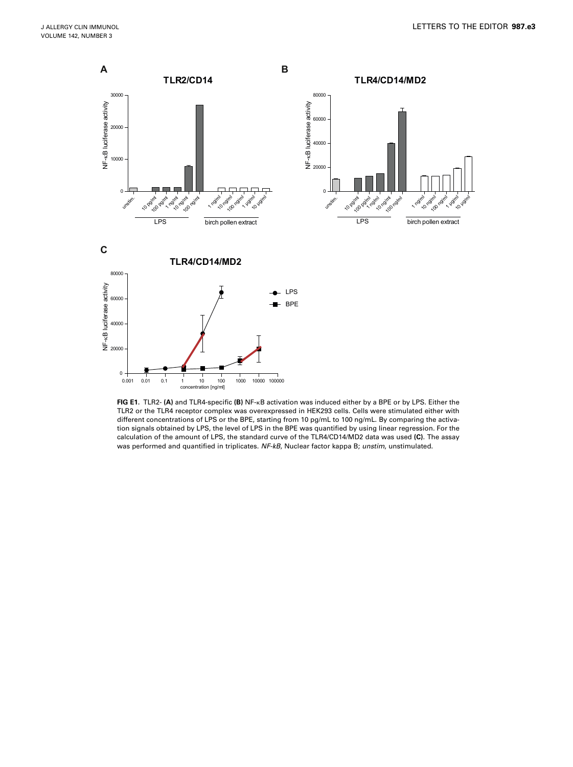<span id="page-6-0"></span>

FIG E1. TLR2- (A) and TLR4-specific (B) NF- $\kappa B$  activation was induced either by a BPE or by LPS. Either the TLR2 or the TLR4 receptor complex was overexpressed in HEK293 cells. Cells were stimulated either with different concentrations of LPS or the BPE, starting from 10 pg/mL to 100 ng/mL. By comparing the activation signals obtained by LPS, the level of LPS in the BPE was quantified by using linear regression. For the calculation of the amount of LPS, the standard curve of the TLR4/CD14/MD2 data was used (C). The assay was performed and quantified in triplicates. NF-kB, Nuclear factor kappa B; unstim, unstimulated.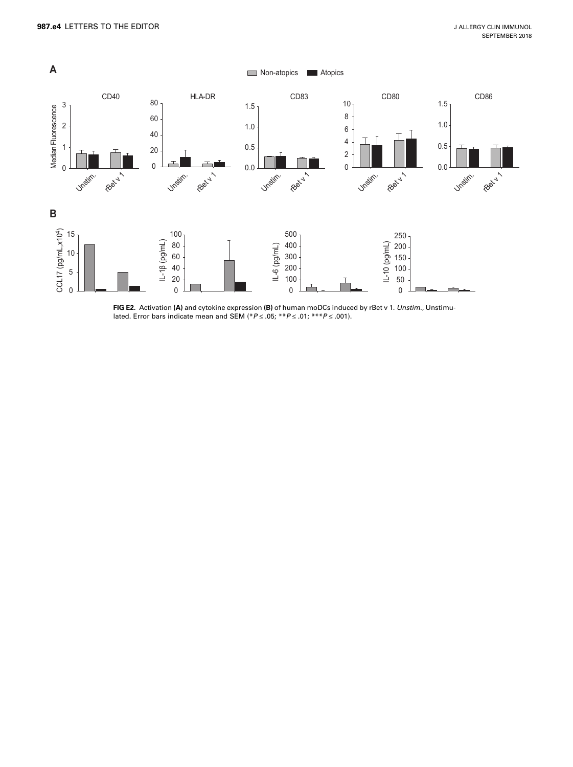<span id="page-7-0"></span>

FIG E2. Activation (A) and cytokine expression (B) of human moDCs induced by rBet v 1. Unstim., Unstimulated. Error bars indicate mean and SEM (\* $P \le .05$ ; \*\* $P \le .01$ ; \*\*\* $P \le .001$ ).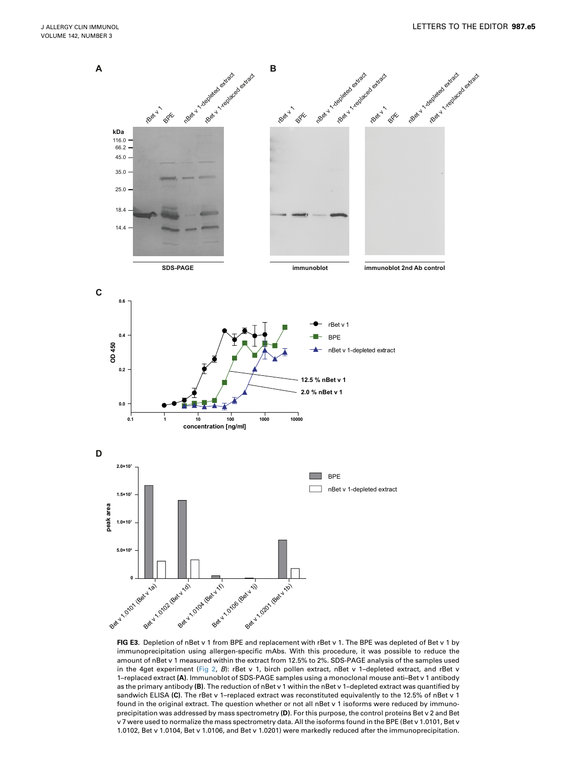<span id="page-8-0"></span>

FIG E3. Depletion of nBet v 1 from BPE and replacement with rBet v 1. The BPE was depleted of Bet v 1 by immunoprecipitation using allergen-specific mAbs. With this procedure, it was possible to reduce the amount of nBet v 1 measured within the extract from 12.5% to 2%. SDS-PAGE analysis of the samples used in the 4get experiment [\(Fig 2](#page-2-0), B): rBet v 1, birch pollen extract, nBet v 1-depleted extract, and rBet v 1–replaced extract (A). Immunoblot of SDS-PAGE samples using a monoclonal mouse anti–Bet v 1 antibody as the primary antibody (B). The reduction of nBet v 1 within the nBet v 1–depleted extract was quantified by sandwich ELISA (C). The rBet v 1-replaced extract was reconstituted equivalently to the 12.5% of nBet v 1 found in the original extract. The question whether or not all nBet v 1 isoforms were reduced by immunoprecipitation was addressed by mass spectrometry (D). For this purpose, the control proteins Bet v 2 and Bet v 7 were used to normalize the mass spectrometry data. All the isoforms found in the BPE (Bet v 1.0101, Bet v 1.0102, Bet v 1.0104, Bet v 1.0106, and Bet v 1.0201) were markedly reduced after the immunoprecipitation.